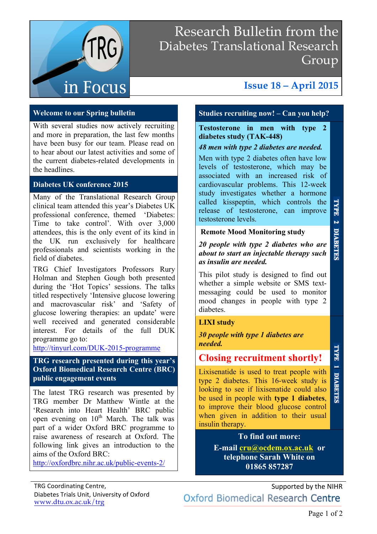

# Research Bulletin from the Diabetes Translational Research Group

# **Issue 18 – April 2015**

### **Welcome to our Spring bulletin**

With several studies now actively recruiting and more in preparation, the last few months have been busy for our team. Please read on to hear about our latest activities and some of the current diabetes-related developments in the headlines.

### **Diabetes UK conference 2015**

Many of the Translational Research Group clinical team attended this year's Diabetes UK professional conference, themed 'Diabetes: Time to take control'. With over 3,000 attendees, this is the only event of its kind in the UK run exclusively for healthcare professionals and scientists working in the field of diabetes.

TRG Chief Investigators Professors Rury Holman and Stephen Gough both presented during the 'Hot Topics' sessions. The talks titled respectively 'Intensive glucose lowering and macrovascular risk' and 'Safety of glucose lowering therapies: an update' were well received and generated considerable interest. For details of the full DUK programme go to:

http://tinyurl.com/DUK-2015-programme

**TRG research presented during this year's Oxford Biomedical Research Centre (BRC) public engagement events**

The latest TRG research was presented by TRG member Dr Matthew Wintle at the 'Research into Heart Health' BRC public open evening on  $10^{th}$  March. The talk was part of a wider Oxford BRC programme to raise awareness of research at Oxford. The following link gives an introduction to the aims of the Oxford BRC:

http://oxfordbrc.nihr.ac.uk/public-events-2/

## **Studies recruiting now! – Can you help?**

**Testosterone in men with type 2 diabetes study (TAK-448)**

### *48 men with type 2 diabetes are needed.*

Men with type 2 diabetes often have low levels of testosterone, which may be associated with an increased risk of cardiovascular problems. This 12-week study investigates whether a hormone called kisspeptin, which controls the release of testosterone, can improve testosterone levels.

**Remote Mood Monitoring study** 

*20 people with type 2 diabetes who are about to start an injectable therapy such as insulin are needed.*

This pilot study is designed to find out whether a simple website or SMS textmessaging could be used to monitor mood changes in people with type 2 diabetes.

### **LIXI study**

*30 people with type 1 diabetes are needed.*

## **Closing recruitment shortly!**

Lixisenatide is used to treat people with **DIABETES** type 2 diabetes. This 16-week study is looking to see if lixisenatide could also be used in people with **type 1 diabetes**, to improve their blood glucose control when given in addition to their usual insulin therapy.

### **To find out more:**

**E-mail cru@ocdem.ox.ac.uk or telephone Sarah White on 01865 857287**

Supported by the NIHR Oxford Biomedical Research Centre

TYPE